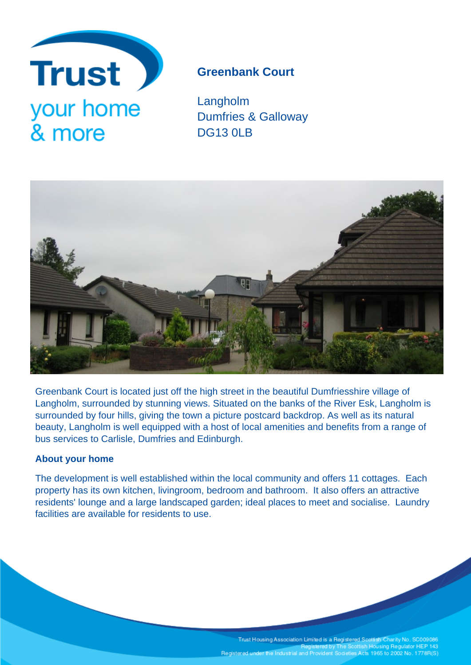

# **Greenbank Court**

Langholm Dumfries & Galloway DG13 0LB



Greenbank Court is located just off the high street in the beautiful Dumfriesshire village of Langholm, surrounded by stunning views. Situated on the banks of the River Esk, Langholm is surrounded by four hills, giving the town a picture postcard backdrop. As well as its natural beauty, Langholm is well equipped with a host of local amenities and benefits from a range of bus services to Carlisle, Dumfries and Edinburgh.

# **About your home**

The development is well established within the local community and offers 11 cottages. Each property has its own kitchen, livingroom, bedroom and bathroom. It also offers an attractive residents' lounge and a large landscaped garden; ideal places to meet and socialise. Laundry facilities are available for residents to use.

Trust Housing Association Limited is a Registered Scottish Charity No. SC009086<br>Registered by The Scottish Housing Regulator HEP 143<br>Registered under the Industrial and Provident Societies Acts 1965 to 2002 No. 1778R(S)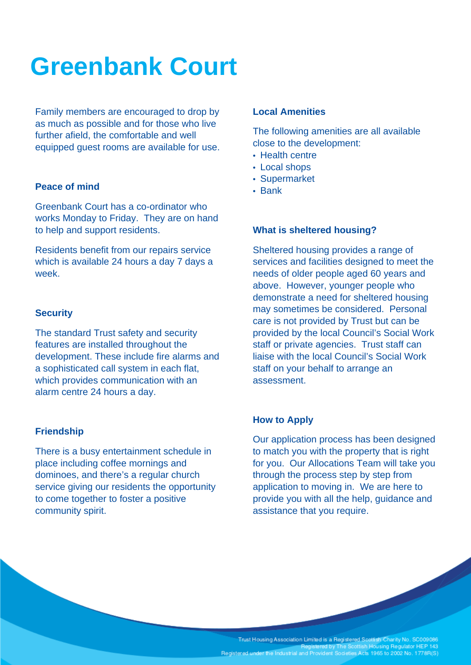# **Greenbank Court**

Family members are encouraged to drop by as much as possible and for those who live further afield, the comfortable and well equipped guest rooms are available for use.

## **Peace of mind**

Greenbank Court has a co-ordinator who works Monday to Friday. They are on hand to help and support residents.

Residents benefit from our repairs service which is available 24 hours a day 7 days a week.

#### **Security**

The standard Trust safety and security features are installed throughout the development. These include fire alarms and a sophisticated call system in each flat, which provides communication with an alarm centre 24 hours a day.

## **Friendship**

There is a busy entertainment schedule in place including coffee mornings and dominoes, and there's a regular church service giving our residents the opportunity to come together to foster a positive community spirit.

#### **Local Amenities**

The following amenities are all available close to the development:

- Health centre
- Local shops
- Supermarket
- Bank

### **What is sheltered housing?**

Sheltered housing provides a range of services and facilities designed to meet the needs of older people aged 60 years and above. However, younger people who demonstrate a need for sheltered housing may sometimes be considered. Personal care is not provided by Trust but can be provided by the local Council's Social Work staff or private agencies. Trust staff can liaise with the local Council's Social Work staff on your behalf to arrange an assessment.

### **How to Apply**

Our application process has been designed to match you with the property that is right for you. Our Allocations Team will take you through the process step by step from application to moving in. We are here to provide you with all the help, guidance and assistance that you require.

Trust Housing Association Limited is a Registered Scottish Charity No. SC009086<br>Registered by The Scottish Housing Regulator HEP 143 Registered under the Industrial and Provident Societies Acts 1965 to 2002 No. 1778R(S)